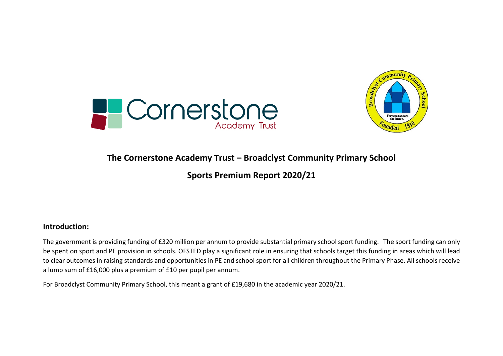



## **The Cornerstone Academy Trust – Broadclyst Community Primary School**

## **Sports Premium Report 2020/21**

#### **Introduction:**

The government is providing funding of £320 million per annum to provide substantial primary school sport funding. The sport funding can only be spent on sport and PE provision in schools. OFSTED play a significant role in ensuring that schools target this funding in areas which will lead to clear outcomes in raising standards and opportunities in PE and school sport for all children throughout the Primary Phase. All schools receive a lump sum of £16,000 plus a premium of £10 per pupil per annum.

For Broadclyst Community Primary School, this meant a grant of £19,680 in the academic year 2020/21.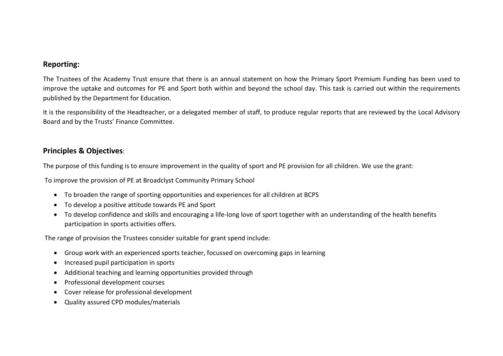#### **Reporting:**

The Trustees of the Academy Trust ensure that there is an annual statement on how the Primary Sport Premium Funding has been used to improve the uptake and outcomes for PE and Sport both within and beyond the school day. This task is carried out within the requirements published by the Department for Education.

It is the responsibility of the Headteacher, or a delegated member of staff, to produce regular reports that are reviewed by the Local Advisory Board and by the Trusts' Finance Committee.

### **Principles & Objectives**:

The purpose of this funding is to ensure improvement in the quality of sport and PE provision for all children. We use the grant:

To improve the provision of PE at Broadclyst Community Primary School

- To broaden the range of sporting opportunities and experiences for all children at BCPS
- To develop a positive attitude towards PE and Sport
- To develop confidence and skills and encouraging a life-long love of sport together with an understanding of the health benefits participation in sports activities offers.

The range of provision the Trustees consider suitable for grant spend include:

- Group work with an experienced sports teacher, focussed on overcoming gaps in learning
- Increased pupil participation in sports
- Additional teaching and learning opportunities provided through
- Professional development courses
- Cover release for professional development
- Quality assured CPD modules/materials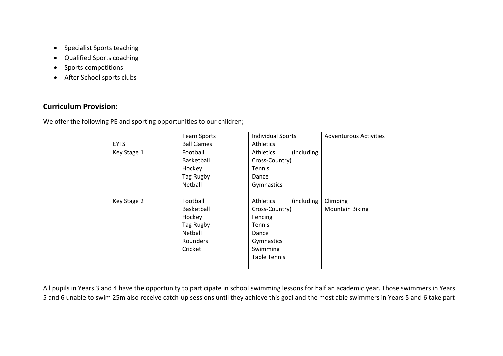- Specialist Sports teaching
- Qualified Sports coaching
- Sports competitions
- After School sports clubs

### **Curriculum Provision:**

We offer the following PE and sporting opportunities to our children;

|             | <b>Team Sports</b> | <b>Individual Sports</b>        | <b>Adventurous Activities</b> |
|-------------|--------------------|---------------------------------|-------------------------------|
| <b>EYFS</b> | <b>Ball Games</b>  | <b>Athletics</b>                |                               |
| Key Stage 1 | Football           | (including)<br><b>Athletics</b> |                               |
|             | <b>Basketball</b>  | Cross-Country)                  |                               |
|             | Hockey             | <b>Tennis</b>                   |                               |
|             | Tag Rugby          | Dance                           |                               |
|             | Netball            | Gymnastics                      |                               |
|             |                    |                                 |                               |
| Key Stage 2 | Football           | (including<br><b>Athletics</b>  | Climbing                      |
|             | <b>Basketball</b>  | Cross-Country)                  | <b>Mountain Biking</b>        |
|             | Hockey             | Fencing                         |                               |
|             | Tag Rugby          | <b>Tennis</b>                   |                               |
|             | Netball            | Dance                           |                               |
|             | Rounders           | Gymnastics                      |                               |
|             | Cricket            | Swimming                        |                               |
|             |                    | <b>Table Tennis</b>             |                               |
|             |                    |                                 |                               |

All pupils in Years 3 and 4 have the opportunity to participate in school swimming lessons for half an academic year. Those swimmers in Years 5 and 6 unable to swim 25m also receive catch-up sessions until they achieve this goal and the most able swimmers in Years 5 and 6 take part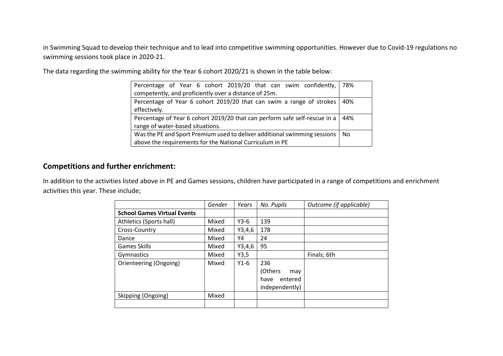in Swimming Squad to develop their technique and to lead into competitive swimming opportunities. However due to Covid-19 regulations no swimming sessions took place in 2020-21.

The data regarding the swimming ability for the Year 6 cohort 2020/21 is shown in the table below:

| Percentage of Year 6 cohort 2019/20 that can swim confidently, 78%         |     |
|----------------------------------------------------------------------------|-----|
| competently, and proficiently over a distance of 25m.                      |     |
| Percentage of Year 6 cohort 2019/20 that can swim a range of strokes       | 40% |
| effectively.                                                               |     |
| Percentage of Year 6 cohort 2019/20 that can perform safe self-rescue in a | 44% |
| range of water-based situations.                                           |     |
| Was the PE and Sport Premium used to deliver additional swimming sessions  | No  |
| above the requirements for the National Curriculum in PE                   |     |

#### **Competitions and further enrichment:**

In addition to the activities listed above in PE and Games sessions, children have participated in a range of competitions and enrichment activities this year. These include;

|                                    | Gender | Years  | No. Pupils      | Outcome (if applicable) |
|------------------------------------|--------|--------|-----------------|-------------------------|
| <b>School Games Virtual Events</b> |        |        |                 |                         |
| Athletics (Sports hall)            | Mixed  | $Y3-6$ | 139             |                         |
| Cross-Country                      | Mixed  | Y3,4,6 | 178             |                         |
| Dance                              | Mixed  | Υ4     | 24              |                         |
| <b>Games Skills</b>                | Mixed  | Y3,4,6 | 95              |                         |
| Gymnastics                         | Mixed  | Y3,5   |                 | Finals; 6th             |
| Orienteering (Ongoing)             | Mixed  | $Y1-6$ | 236             |                         |
|                                    |        |        | (Others<br>may  |                         |
|                                    |        |        | entered<br>have |                         |
|                                    |        |        | independently)  |                         |
| Skipping (Ongoing)                 | Mixed  |        |                 |                         |
|                                    |        |        |                 |                         |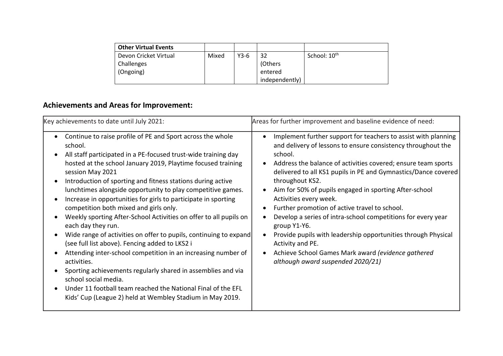| <b>Other Virtual Events</b> |       |        |                |                          |
|-----------------------------|-------|--------|----------------|--------------------------|
| Devon Cricket Virtual       | Mixed | $Y3-6$ | 32             | School: 10 <sup>th</sup> |
| Challenges                  |       |        | (Others        |                          |
| (Ongoing)                   |       |        | entered        |                          |
|                             |       |        | independently) |                          |

# **Achievements and Areas for Improvement:**

| Key achievements to date until July 2021:                                                                                                                                                                                                                                                                                                                                                                                                                                                                                                                                                                                                                                                                                                                                                                                                                                                                                                                                                                                                        | Areas for further improvement and baseline evidence of need:                                                                                                                                                                                                                                                                                                                                                                                                                                                                                                                                                                                                                                         |
|--------------------------------------------------------------------------------------------------------------------------------------------------------------------------------------------------------------------------------------------------------------------------------------------------------------------------------------------------------------------------------------------------------------------------------------------------------------------------------------------------------------------------------------------------------------------------------------------------------------------------------------------------------------------------------------------------------------------------------------------------------------------------------------------------------------------------------------------------------------------------------------------------------------------------------------------------------------------------------------------------------------------------------------------------|------------------------------------------------------------------------------------------------------------------------------------------------------------------------------------------------------------------------------------------------------------------------------------------------------------------------------------------------------------------------------------------------------------------------------------------------------------------------------------------------------------------------------------------------------------------------------------------------------------------------------------------------------------------------------------------------------|
| Continue to raise profile of PE and Sport across the whole<br>school.<br>All staff participated in a PE-focused trust-wide training day<br>hosted at the school January 2019, Playtime focused training<br>session May 2021<br>Introduction of sporting and fitness stations during active<br>$\bullet$<br>lunchtimes alongside opportunity to play competitive games.<br>Increase in opportunities for girls to participate in sporting<br>$\bullet$<br>competition both mixed and girls only.<br>Weekly sporting After-School Activities on offer to all pupils on<br>each day they run.<br>Wide range of activities on offer to pupils, continuing to expand<br>$\bullet$<br>(see full list above). Fencing added to LKS2 i<br>Attending inter-school competition in an increasing number of<br>activities.<br>Sporting achievements regularly shared in assemblies and via<br>school social media.<br>Under 11 football team reached the National Final of the EFL<br>$\bullet$<br>Kids' Cup (League 2) held at Wembley Stadium in May 2019. | Implement further support for teachers to assist with planning<br>and delivery of lessons to ensure consistency throughout the<br>school.<br>Address the balance of activities covered; ensure team sports<br>delivered to all KS1 pupils in PE and Gymnastics/Dance covered<br>throughout KS2.<br>Aim for 50% of pupils engaged in sporting After-school<br>Activities every week.<br>Further promotion of active travel to school.<br>Develop a series of intra-school competitions for every year<br>group Y1-Y6.<br>Provide pupils with leadership opportunities through Physical<br>Activity and PE.<br>Achieve School Games Mark award (evidence gathered<br>although award suspended 2020/21) |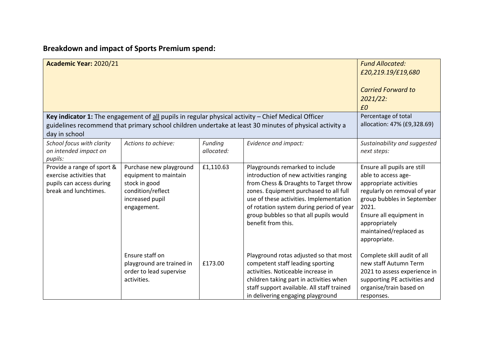# **Breakdown and impact of Sports Premium spend:**

| Academic Year: 2020/21                                                                                      |                                                                                                                          |                       |                                                                                                                                                                                                                                                                                                                     | <b>Fund Allocated:</b><br>£20,219.19/£19,680<br><b>Carried Forward to</b><br>2021/22:<br>£0                                                                                                                                               |
|-------------------------------------------------------------------------------------------------------------|--------------------------------------------------------------------------------------------------------------------------|-----------------------|---------------------------------------------------------------------------------------------------------------------------------------------------------------------------------------------------------------------------------------------------------------------------------------------------------------------|-------------------------------------------------------------------------------------------------------------------------------------------------------------------------------------------------------------------------------------------|
|                                                                                                             |                                                                                                                          |                       | Key indicator 1: The engagement of $all$ pupils in regular physical activity $-$ Chief Medical Officer                                                                                                                                                                                                              | Percentage of total                                                                                                                                                                                                                       |
|                                                                                                             |                                                                                                                          |                       | guidelines recommend that primary school children undertake at least 30 minutes of physical activity a                                                                                                                                                                                                              | allocation: 47% (£9,328.69)                                                                                                                                                                                                               |
| day in school                                                                                               |                                                                                                                          |                       |                                                                                                                                                                                                                                                                                                                     |                                                                                                                                                                                                                                           |
| School focus with clarity<br>on intended impact on<br>pupils:                                               | Actions to achieve:                                                                                                      | Funding<br>allocated: | Evidence and impact:                                                                                                                                                                                                                                                                                                | Sustainability and suggested<br>next steps:                                                                                                                                                                                               |
| Provide a range of sport &<br>exercise activities that<br>pupils can access during<br>break and lunchtimes. | Purchase new playground<br>equipment to maintain<br>stock in good<br>condition/reflect<br>increased pupil<br>engagement. | £1,110.63             | Playgrounds remarked to include<br>introduction of new activities ranging<br>from Chess & Draughts to Target throw<br>zones. Equipment purchased to all full<br>use of these activities. Implementation<br>of rotation system during period of year<br>group bubbles so that all pupils would<br>benefit from this. | Ensure all pupils are still<br>able to access age-<br>appropriate activities<br>regularly on removal of year<br>group bubbles in September<br>2021.<br>Ensure all equipment in<br>appropriately<br>maintained/replaced as<br>appropriate. |
|                                                                                                             | Ensure staff on<br>playground are trained in<br>order to lead supervise<br>activities.                                   | £173.00               | Playground rotas adjusted so that most<br>competent staff leading sporting<br>activities. Noticeable increase in<br>children taking part in activities when<br>staff support available. All staff trained<br>in delivering engaging playground                                                                      | Complete skill audit of all<br>new staff Autumn Term<br>2021 to assess experience in<br>supporting PE activities and<br>organise/train based on<br>responses.                                                                             |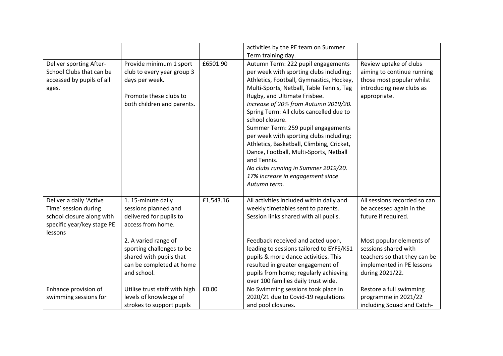|                                                                                                                       |                                                                                                                                                 |           | activities by the PE team on Summer<br>Term training day.                                                                                                                                                                                                                                                                                                                                                                                                                                                                                                                                     |                                                                                                                                     |
|-----------------------------------------------------------------------------------------------------------------------|-------------------------------------------------------------------------------------------------------------------------------------------------|-----------|-----------------------------------------------------------------------------------------------------------------------------------------------------------------------------------------------------------------------------------------------------------------------------------------------------------------------------------------------------------------------------------------------------------------------------------------------------------------------------------------------------------------------------------------------------------------------------------------------|-------------------------------------------------------------------------------------------------------------------------------------|
| Deliver sporting After-<br>School Clubs that can be<br>accessed by pupils of all<br>ages.                             | Provide minimum 1 sport<br>club to every year group 3<br>days per week.<br>Promote these clubs to<br>both children and parents.                 | £6501.90  | Autumn Term: 222 pupil engagements<br>per week with sporting clubs including;<br>Athletics, Football, Gymnastics, Hockey,<br>Multi-Sports, Netball, Table Tennis, Tag<br>Rugby, and Ultimate Frisbee.<br>Increase of 20% from Autumn 2019/20.<br>Spring Term: All clubs cancelled due to<br>school closure.<br>Summer Term: 259 pupil engagements<br>per week with sporting clubs including;<br>Athletics, Basketball, Climbing, Cricket,<br>Dance, Football, Multi-Sports, Netball<br>and Tennis.<br>No clubs running in Summer 2019/20.<br>17% increase in engagement since<br>Autumn term. | Review uptake of clubs<br>aiming to continue running<br>those most popular whilst<br>introducing new clubs as<br>appropriate.       |
| Deliver a daily 'Active<br>Time' session during<br>school closure along with<br>specific year/key stage PE<br>lessons | 1. 15-minute daily<br>sessions planned and<br>delivered for pupils to<br>access from home.<br>2. A varied range of<br>sporting challenges to be | £1,543.16 | All activities included within daily and<br>weekly timetables sent to parents.<br>Session links shared with all pupils.<br>Feedback received and acted upon,<br>leading to sessions tailored to EYFS/KS1                                                                                                                                                                                                                                                                                                                                                                                      | All sessions recorded so can<br>be accessed again in the<br>future if required.<br>Most popular elements of<br>sessions shared with |
|                                                                                                                       | shared with pupils that<br>can be completed at home<br>and school.                                                                              |           | pupils & more dance activities. This<br>resulted in greater engagement of<br>pupils from home; regularly achieving<br>over 100 families daily trust wide.                                                                                                                                                                                                                                                                                                                                                                                                                                     | teachers so that they can be<br>implemented in PE lessons<br>during 2021/22.                                                        |
| Enhance provision of<br>swimming sessions for                                                                         | Utilise trust staff with high<br>levels of knowledge of<br>strokes to support pupils                                                            | £0.00     | No Swimming sessions took place in<br>2020/21 due to Covid-19 regulations<br>and pool closures.                                                                                                                                                                                                                                                                                                                                                                                                                                                                                               | Restore a full swimming<br>programme in 2021/22<br>including Squad and Catch-                                                       |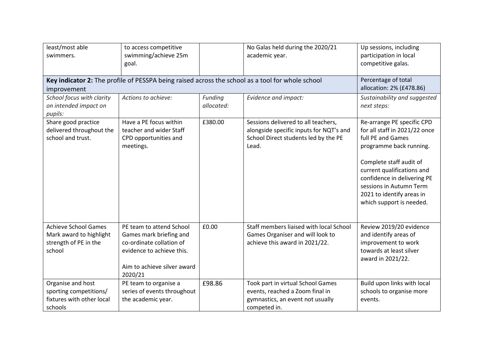| least/most able<br>swimmers.                                                              | to access competitive<br>swimming/achieve 25m<br>goal.                                                                                                 |                       | No Galas held during the 2020/21<br>academic year.                                                                              | Up sessions, including<br>participation in local<br>competitive galas.                                                                                                                                                                                                                  |
|-------------------------------------------------------------------------------------------|--------------------------------------------------------------------------------------------------------------------------------------------------------|-----------------------|---------------------------------------------------------------------------------------------------------------------------------|-----------------------------------------------------------------------------------------------------------------------------------------------------------------------------------------------------------------------------------------------------------------------------------------|
| improvement                                                                               |                                                                                                                                                        |                       | Key indicator 2: The profile of PESSPA being raised across the school as a tool for whole school                                | Percentage of total<br>allocation: 2% (£478.86)                                                                                                                                                                                                                                         |
| School focus with clarity<br>on intended impact on<br>pupils:                             | Actions to achieve:                                                                                                                                    | Funding<br>allocated: | Evidence and impact:                                                                                                            | Sustainability and suggested<br>next steps:                                                                                                                                                                                                                                             |
| Share good practice<br>delivered throughout the<br>school and trust.                      | Have a PE focus within<br>teacher and wider Staff<br>CPD opportunities and<br>meetings.                                                                | £380.00               | Sessions delivered to all teachers,<br>alongside specific inputs for NQT's and<br>School Direct students led by the PE<br>Lead. | Re-arrange PE specific CPD<br>for all staff in 2021/22 once<br>full PE and Games<br>programme back running.<br>Complete staff audit of<br>current qualifications and<br>confidence in delivering PE<br>sessions in Autumn Term<br>2021 to identify areas in<br>which support is needed. |
| <b>Achieve School Games</b><br>Mark award to highlight<br>strength of PE in the<br>school | PE team to attend School<br>Games mark briefing and<br>co-ordinate collation of<br>evidence to achieve this.<br>Aim to achieve silver award<br>2020/21 | £0.00                 | Staff members liaised with local School<br>Games Organiser and will look to<br>achieve this award in 2021/22.                   | Review 2019/20 evidence<br>and identify areas of<br>improvement to work<br>towards at least silver<br>award in 2021/22.                                                                                                                                                                 |
| Organise and host<br>sporting competitions/<br>fixtures with other local<br>schools       | PE team to organise a<br>series of events throughout<br>the academic year.                                                                             | £98.86                | Took part in virtual School Games<br>events, reached a Zoom final in<br>gymnastics, an event not usually<br>competed in.        | Build upon links with local<br>schools to organise more<br>events.                                                                                                                                                                                                                      |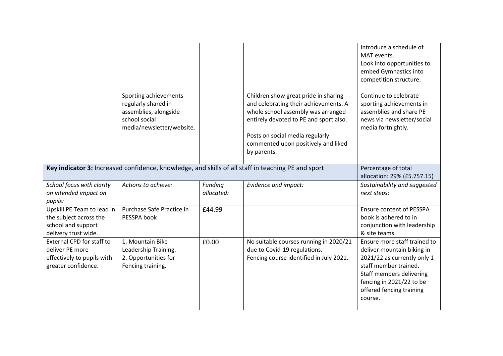|                                                                                                          | Sporting achievements<br>regularly shared in<br>assemblies, alongside<br>school social<br>media/newsletter/website. |                       | Children show great pride in sharing<br>and celebrating their achievements. A<br>whole school assembly was arranged<br>entirely devoted to PE and sport also.<br>Posts on social media regularly<br>commented upon positively and liked<br>by parents. | Introduce a schedule of<br>MAT events.<br>Look into opportunities to<br>embed Gymnastics into<br>competition structure.<br>Continue to celebrate<br>sporting achievements in<br>assemblies and share PE<br>news via newsletter/social<br>media fortnightly. |
|----------------------------------------------------------------------------------------------------------|---------------------------------------------------------------------------------------------------------------------|-----------------------|--------------------------------------------------------------------------------------------------------------------------------------------------------------------------------------------------------------------------------------------------------|-------------------------------------------------------------------------------------------------------------------------------------------------------------------------------------------------------------------------------------------------------------|
|                                                                                                          |                                                                                                                     |                       | Key indicator 3: Increased confidence, knowledge, and skills of all staff in teaching PE and sport                                                                                                                                                     | Percentage of total<br>allocation: 29% (£5.757.15)                                                                                                                                                                                                          |
| School focus with clarity<br>on intended impact on<br>pupils:                                            | Actions to achieve:                                                                                                 | Funding<br>allocated: | Evidence and impact:                                                                                                                                                                                                                                   | Sustainability and suggested<br>next steps:                                                                                                                                                                                                                 |
| Upskill PE Team to lead in<br>the subject across the<br>school and support<br>delivery trust wide.       | Purchase Safe Practice in<br>PESSPA book                                                                            | £44.99                |                                                                                                                                                                                                                                                        | <b>Ensure content of PESSPA</b><br>book is adhered to in<br>conjunction with leadership<br>& site teams.                                                                                                                                                    |
| <b>External CPD for staff to</b><br>deliver PE more<br>effectively to pupils with<br>greater confidence. | 1. Mountain Bike<br>Leadership Training.<br>2. Opportunities for<br>Fencing training.                               | £0.00                 | No suitable courses running in 2020/21<br>due to Covid-19 regulations.<br>Fencing course identified in July 2021.                                                                                                                                      | Ensure more staff trained to<br>deliver mountain biking in<br>2021/22 as currently only 1<br>staff member trained.<br>Staff members delivering<br>fencing in 2021/22 to be<br>offered fencing training<br>course.                                           |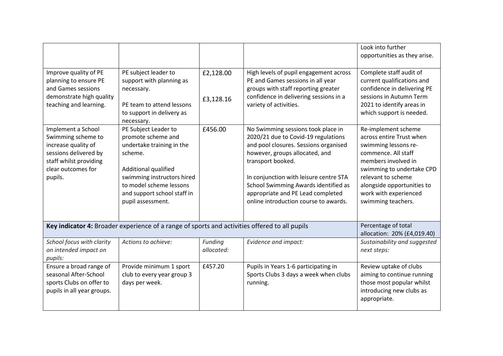|                                                                                                                                                     |                                                                                                                                                                                                                         |                        |                                                                                                                                                                                                                                                                                                                                           | Look into further<br>opportunities as they arise.                                                                                                                                                                                                     |
|-----------------------------------------------------------------------------------------------------------------------------------------------------|-------------------------------------------------------------------------------------------------------------------------------------------------------------------------------------------------------------------------|------------------------|-------------------------------------------------------------------------------------------------------------------------------------------------------------------------------------------------------------------------------------------------------------------------------------------------------------------------------------------|-------------------------------------------------------------------------------------------------------------------------------------------------------------------------------------------------------------------------------------------------------|
| Improve quality of PE<br>planning to ensure PE<br>and Games sessions<br>demonstrate high quality<br>teaching and learning.                          | PE subject leader to<br>support with planning as<br>necessary.<br>PE team to attend lessons<br>to support in delivery as<br>necessary.                                                                                  | £2,128.00<br>£3,128.16 | High levels of pupil engagement across<br>PE and Games sessions in all year<br>groups with staff reporting greater<br>confidence in delivering sessions in a<br>variety of activities.                                                                                                                                                    | Complete staff audit of<br>current qualifications and<br>confidence in delivering PE<br>sessions in Autumn Term<br>2021 to identify areas in<br>which support is needed.                                                                              |
| Implement a School<br>Swimming scheme to<br>increase quality of<br>sessions delivered by<br>staff whilst providing<br>clear outcomes for<br>pupils. | PE Subject Leader to<br>promote scheme and<br>undertake training in the<br>scheme.<br>Additional qualified<br>swimming instructors hired<br>to model scheme lessons<br>and support school staff in<br>pupil assessment. | £456.00                | No Swimming sessions took place in<br>2020/21 due to Covid-19 regulations<br>and pool closures. Sessions organised<br>however, groups allocated, and<br>transport booked.<br>In conjunction with leisure centre STA<br>School Swimming Awards identified as<br>appropriate and PE Lead completed<br>online introduction course to awards. | Re-implement scheme<br>across entire Trust when<br>swimming lessons re-<br>commence. All staff<br>members involved in<br>swimming to undertake CPD<br>relevant to scheme<br>alongside opportunities to<br>work with experienced<br>swimming teachers. |
|                                                                                                                                                     | Key indicator 4: Broader experience of a range of sports and activities offered to all pupils                                                                                                                           |                        |                                                                                                                                                                                                                                                                                                                                           | Percentage of total<br>allocation: 20% (£4,019.40)                                                                                                                                                                                                    |
| School focus with clarity<br>on intended impact on<br>pupils:                                                                                       | Actions to achieve:                                                                                                                                                                                                     | Funding<br>allocated:  | Evidence and impact:                                                                                                                                                                                                                                                                                                                      | Sustainability and suggested<br>next steps:                                                                                                                                                                                                           |
| Ensure a broad range of<br>seasonal After-School<br>sports Clubs on offer to<br>pupils in all year groups.                                          | Provide minimum 1 sport<br>club to every year group 3<br>days per week.                                                                                                                                                 | £457.20                | Pupils in Years 1-6 participating in<br>Sports Clubs 3 days a week when clubs<br>running.                                                                                                                                                                                                                                                 | Review uptake of clubs<br>aiming to continue running<br>those most popular whilst<br>introducing new clubs as<br>appropriate.                                                                                                                         |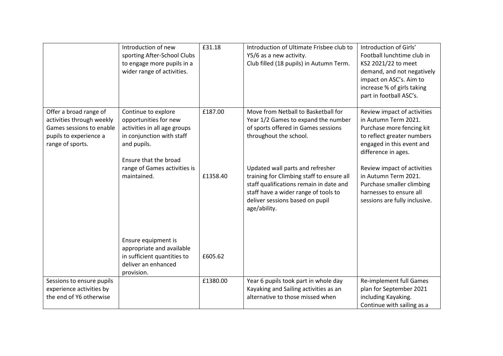|                                                                                                                               | Introduction of new<br>sporting After-School Clubs<br>to engage more pupils in a<br>wider range of activities.                                                                                   | £31.18              | Introduction of Ultimate Frisbee club to<br>Y5/6 as a new activity.<br>Club filled (18 pupils) in Autumn Term.                                                                                                                                                                                                  | Introduction of Girls'<br>Football lunchtime club in<br>KS2 2021/22 to meet<br>demand, and not negatively<br>impact on ASC's. Aim to<br>increase % of girls taking<br>part in football ASC's.                                                                                     |
|-------------------------------------------------------------------------------------------------------------------------------|--------------------------------------------------------------------------------------------------------------------------------------------------------------------------------------------------|---------------------|-----------------------------------------------------------------------------------------------------------------------------------------------------------------------------------------------------------------------------------------------------------------------------------------------------------------|-----------------------------------------------------------------------------------------------------------------------------------------------------------------------------------------------------------------------------------------------------------------------------------|
| Offer a broad range of<br>activities through weekly<br>Games sessions to enable<br>pupils to experience a<br>range of sports. | Continue to explore<br>opportunities for new<br>activities in all age groups<br>in conjunction with staff<br>and pupils.<br>Ensure that the broad<br>range of Games activities is<br>maintained. | £187.00<br>£1358.40 | Move from Netball to Basketball for<br>Year 1/2 Games to expand the number<br>of sports offered in Games sessions<br>throughout the school.<br>Updated wall parts and refresher<br>training for Climbing staff to ensure all<br>staff qualifications remain in date and<br>staff have a wider range of tools to | Review impact of activities<br>in Autumn Term 2021.<br>Purchase more fencing kit<br>to reflect greater numbers<br>engaged in this event and<br>difference in ages.<br>Review impact of activities<br>in Autumn Term 2021.<br>Purchase smaller climbing<br>harnesses to ensure all |
|                                                                                                                               | Ensure equipment is<br>appropriate and available<br>in sufficient quantities to<br>deliver an enhanced<br>provision.                                                                             | £605.62             | deliver sessions based on pupil<br>age/ability.                                                                                                                                                                                                                                                                 | sessions are fully inclusive.                                                                                                                                                                                                                                                     |
| Sessions to ensure pupils<br>experience activities by<br>the end of Y6 otherwise                                              |                                                                                                                                                                                                  | £1380.00            | Year 6 pupils took part in whole day<br>Kayaking and Sailing activities as an<br>alternative to those missed when                                                                                                                                                                                               | Re-implement full Games<br>plan for September 2021<br>including Kayaking.<br>Continue with sailing as a                                                                                                                                                                           |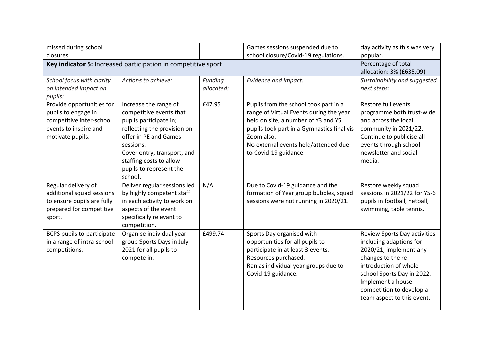| missed during school                                          |                                    |            | Games sessions suspended due to            | day activity as this was very |
|---------------------------------------------------------------|------------------------------------|------------|--------------------------------------------|-------------------------------|
| closures                                                      |                                    |            | school closure/Covid-19 regulations.       | popular.                      |
| Key indicator 5: Increased participation in competitive sport | Percentage of total                |            |                                            |                               |
|                                                               |                                    |            |                                            | allocation: 3% (£635.09)      |
| School focus with clarity                                     | Actions to achieve:                | Funding    | Evidence and impact:                       | Sustainability and suggested  |
| on intended impact on                                         |                                    | allocated: |                                            | next steps:                   |
| pupils:                                                       |                                    |            |                                            |                               |
| Provide opportunities for                                     | Increase the range of              | £47.95     | Pupils from the school took part in a      | Restore full events           |
| pupils to engage in                                           | competitive events that            |            | range of Virtual Events during the year    | programme both trust-wide     |
| competitive inter-school                                      | pupils participate in;             |            | held on site, a number of Y3 and Y5        | and across the local          |
| events to inspire and                                         | reflecting the provision on        |            | pupils took part in a Gymnastics final vis | community in 2021/22.         |
| motivate pupils.                                              | offer in PE and Games              |            | Zoom also.                                 | Continue to publicise all     |
|                                                               | sessions.                          |            | No external events held/attended due       | events through school         |
|                                                               | Cover entry, transport, and        |            | to Covid-19 guidance.                      | newsletter and social         |
|                                                               | staffing costs to allow            |            |                                            | media.                        |
|                                                               | pupils to represent the<br>school. |            |                                            |                               |
| Regular delivery of                                           | Deliver regular sessions led       | N/A        | Due to Covid-19 guidance and the           | Restore weekly squad          |
| additional squad sessions                                     | by highly competent staff          |            | formation of Year group bubbles, squad     | sessions in 2021/22 for Y5-6  |
| to ensure pupils are fully                                    | in each activity to work on        |            | sessions were not running in 2020/21.      | pupils in football, netball,  |
| prepared for competitive                                      | aspects of the event               |            |                                            | swimming, table tennis.       |
| sport.                                                        | specifically relevant to           |            |                                            |                               |
|                                                               | competition.                       |            |                                            |                               |
| <b>BCPS pupils to participate</b>                             | Organise individual year           | £499.74    | Sports Day organised with                  | Review Sports Day activities  |
| in a range of intra-school                                    | group Sports Days in July          |            | opportunities for all pupils to            | including adaptions for       |
| competitions.                                                 | 2021 for all pupils to             |            | participate in at least 3 events.          | 2020/21, implement any        |
|                                                               | compete in.                        |            | Resources purchased.                       | changes to the re-            |
|                                                               |                                    |            | Ran as individual year groups due to       | introduction of whole         |
|                                                               |                                    |            | Covid-19 guidance.                         | school Sports Day in 2022.    |
|                                                               |                                    |            |                                            | Implement a house             |
|                                                               |                                    |            |                                            | competition to develop a      |
|                                                               |                                    |            |                                            | team aspect to this event.    |
|                                                               |                                    |            |                                            |                               |